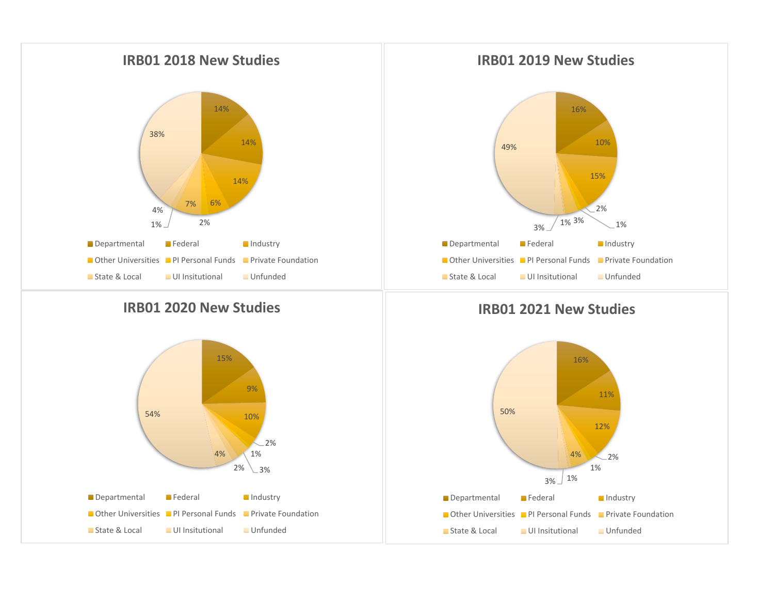

## **IRB01 2020 New Studies**